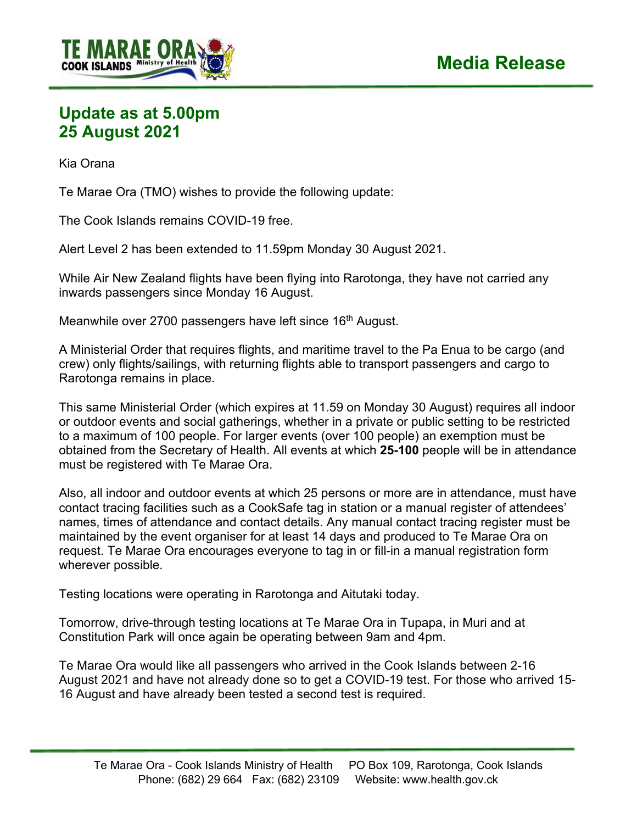

## **Update as at 5.00pm 25 August 2021**

Kia Orana

Te Marae Ora (TMO) wishes to provide the following update:

The Cook Islands remains COVID-19 free.

Alert Level 2 has been extended to 11.59pm Monday 30 August 2021.

While Air New Zealand flights have been flying into Rarotonga, they have not carried any inwards passengers since Monday 16 August.

Meanwhile over 2700 passengers have left since 16<sup>th</sup> August.

A Ministerial Order that requires flights, and maritime travel to the Pa Enua to be cargo (and crew) only flights/sailings, with returning flights able to transport passengers and cargo to Rarotonga remains in place.

This same Ministerial Order (which expires at 11.59 on Monday 30 August) requires all indoor or outdoor events and social gatherings, whether in a private or public setting to be restricted to a maximum of 100 people. For larger events (over 100 people) an exemption must be obtained from the Secretary of Health. All events at which **25-100** people will be in attendance must be registered with Te Marae Ora.

Also, all indoor and outdoor events at which 25 persons or more are in attendance, must have contact tracing facilities such as a CookSafe tag in station or a manual register of attendees' names, times of attendance and contact details. Any manual contact tracing register must be maintained by the event organiser for at least 14 days and produced to Te Marae Ora on request. Te Marae Ora encourages everyone to tag in or fill-in a manual registration form wherever possible.

Testing locations were operating in Rarotonga and Aitutaki today.

Tomorrow, drive-through testing locations at Te Marae Ora in Tupapa, in Muri and at Constitution Park will once again be operating between 9am and 4pm.

Te Marae Ora would like all passengers who arrived in the Cook Islands between 2-16 August 2021 and have not already done so to get a COVID-19 test. For those who arrived 15- 16 August and have already been tested a second test is required.